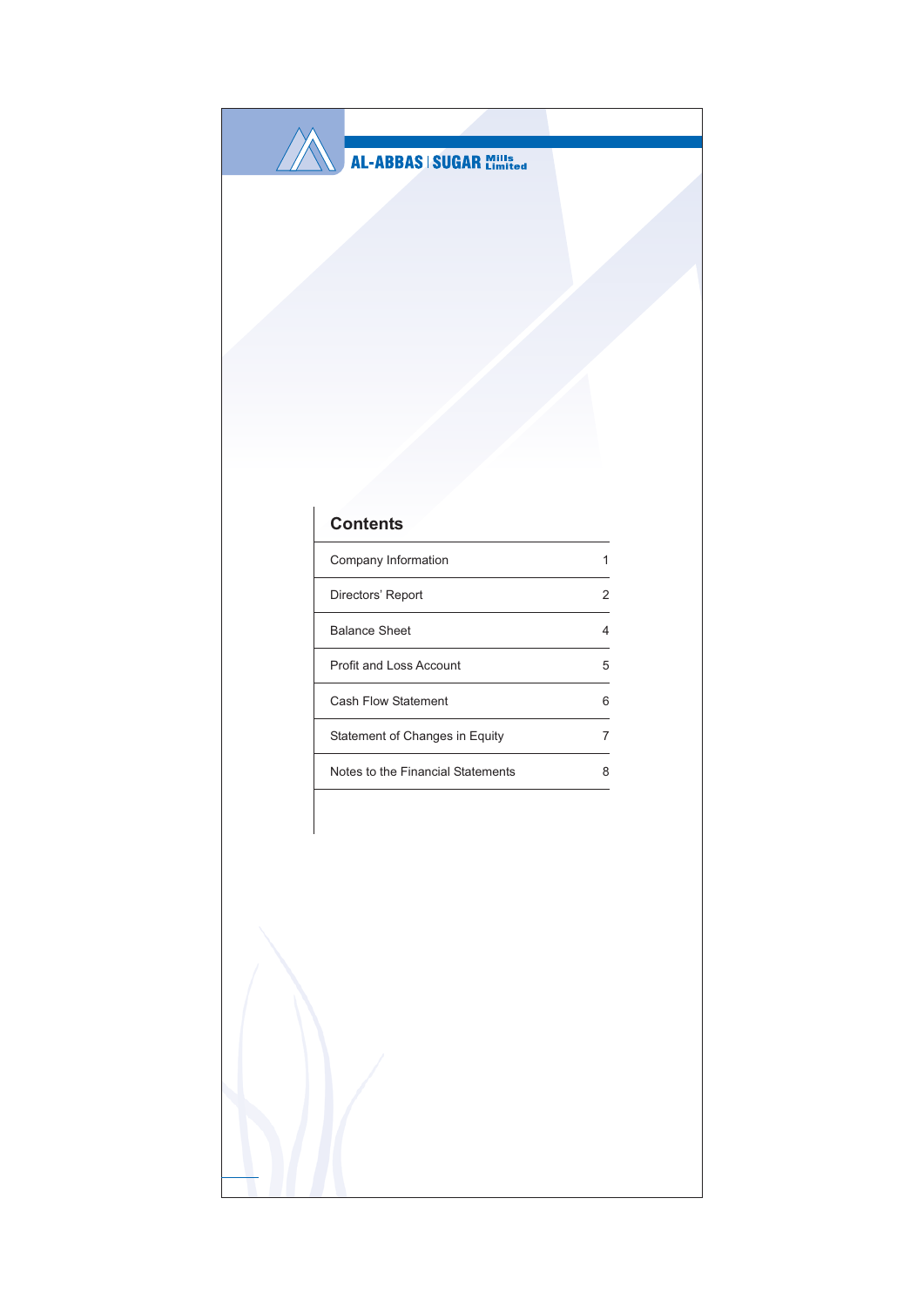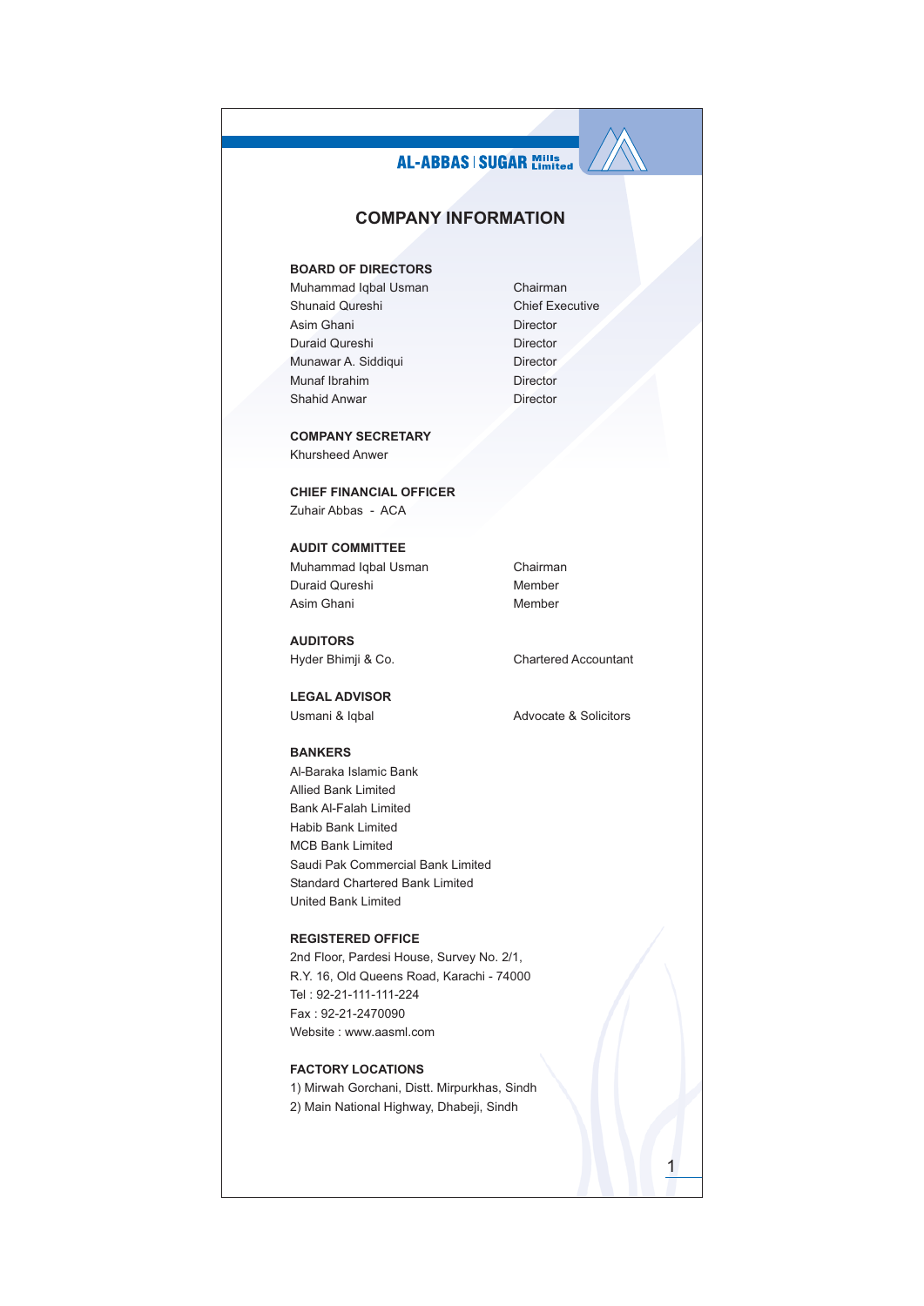# **AL-ABBAS | SUGAR Mills COMPANY INFORMATION BOARD OF DIRECTORS** Muhammad Iqbal Usman Chairman Shunaid Qureshi **Chief Executive** Asim Ghani Director Duraid Qureshi Director Munawar A. Siddiqui Director Munaf Ibrahim Director Shahid Anwar Director **COMPANY SECRETARY** Khursheed Anwer **CHIEF FINANCIAL OFFICER** Zuhair Abbas - ACA **AUDIT COMMITTEE** Muhammad Iqbal Usman Chairman Duraid Qureshi Member Asim Ghani Member **AUDITORS** Hyder Bhimji & Co. **Chartered Accountant LEGAL ADVISOR** Usmani & Iqbal Advocate & Solicitors **BANKERS** Al-Baraka Islamic Bank Allied Bank Limited Bank Al-Falah Limited Habib Bank Limited **MCB Bank Limited** Saudi Pak Commercial Bank Limited Standard Chartered Bank Limited United Bank Limited **REGISTERED OFFICE** 2nd Floor, Pardesi House, Survey No. 2/1, R.Y. 16, Old Queens Road, Karachi - 74000 Tel: 92-21-111-111-224 Fax: 92-21-2470090 Website: www.aasml.com **FACTORY LOCATIONS**

1) Mirwah Gorchani, Distt. Mirpurkhas, Sindh 2) Main National Highway, Dhabeji, Sindh

1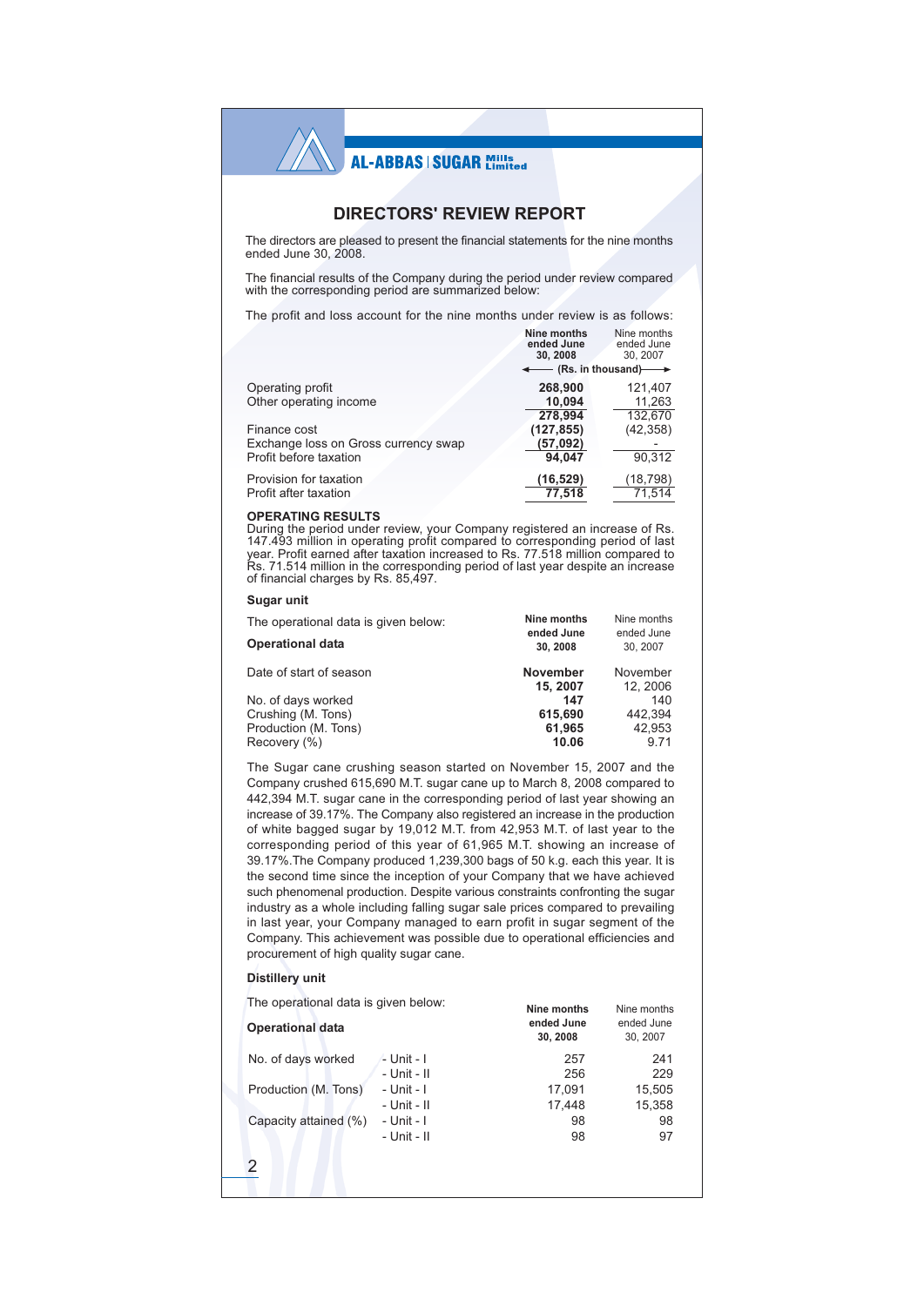## **DIRECTORS' REVIEW REPORT**

The directors are pleased to present the financial statements for the nine months ended June 30, 2008.

The financial results of the Company during the period under review compared with the corresponding period are summarized below:

The profit and loss account for the nine months under review is as follows:  $\sqrt{10}$  $= -1$ **Contract** 

|                                      | Nine months<br>ended June<br>30, 2008        | <b>NING MONUS</b><br>ended June<br>30, 2007 |
|--------------------------------------|----------------------------------------------|---------------------------------------------|
|                                      | $\leftarrow$ (Rs. in thousand) $\rightarrow$ |                                             |
| Operating profit                     | 268.900                                      | 121.407                                     |
| Other operating income               | 10.094                                       | 11,263                                      |
|                                      | 278.994                                      | 132.670                                     |
| Finance cost                         | (127, 855)                                   | (42, 358)                                   |
| Exchange loss on Gross currency swap | (57,092)                                     |                                             |
| Profit before taxation               | 94.047                                       | 90.312                                      |
| Provision for taxation               | (16,529)                                     | (18, 798)                                   |
| Profit after taxation                | 77,518                                       | 71.514                                      |
|                                      |                                              |                                             |

#### **OPERATING RESULTS**

During the period under review, your Company registered an increase of Rs.<br>147.493 million in operating profit compared to corresponding period of last<br>year. Profit earned after taxation increased to Rs. 77.518 million com Rs. 71.514 million in the corresponding period of last year despite an increase<br>of financial charges by Rs. 85,497.

| Sudar unit |  |
|------------|--|
|------------|--|

| The operational data is given below: | Nine months                | Nine months            |
|--------------------------------------|----------------------------|------------------------|
| <b>Operational data</b>              | ended June<br>30.2008      | ended June<br>30, 2007 |
| Date of start of season              | <b>November</b><br>15.2007 | November<br>12, 2006   |
| No. of days worked                   | 147                        | 140                    |
| Crushing (M. Tons)                   | 615.690                    | 442.394                |
| Production (M. Tons)                 | 61.965                     | 42.953                 |
| Recovery (%)                         | 10.06                      | 9.71                   |

The Sugar cane crushing season started on November 15, 2007 and the Company crushed 615,690 M.T. sugar cane up to March 8, 2008 compared to 442,394 M.T. sugar cane in the corresponding period of last year showing an increase of 39.17%. The Company also registered an increase in the production of white bagged sugar by 19,012 M.T. from 42,953 M.T. of last year to the corresponding period of this year of 61,965 M.T. showing an increase of 39.17%. The Company produced 1,239,300 bags of 50 k.g. each this year. It is the second time since the inception of your Company that we have achieved such phenomenal production. Despite various constraints confronting the sugar industry as a whole including falling sugar sale prices compared to prevailing in last year, your Company managed to earn profit in sugar segment of the Company. This achievement was possible due to operational efficiencies and procurement of high quality sugar cane.

#### **Distillery unit**

The operational data is given below: Nine months Nine months ended June ended June **Operational data** 30, 2008 30, 2007 No. of days worked  $-L$ Unit - I 257 241 - Unit - II 256 229  $-$  Unit  $-$  I 17.091 15.505 Production (M. Tons) - Unit - II 17.448 15.358 - Unit - I Capacity attained (%)  $98$ **QR** - Unit - II 98 97  $\overline{2}$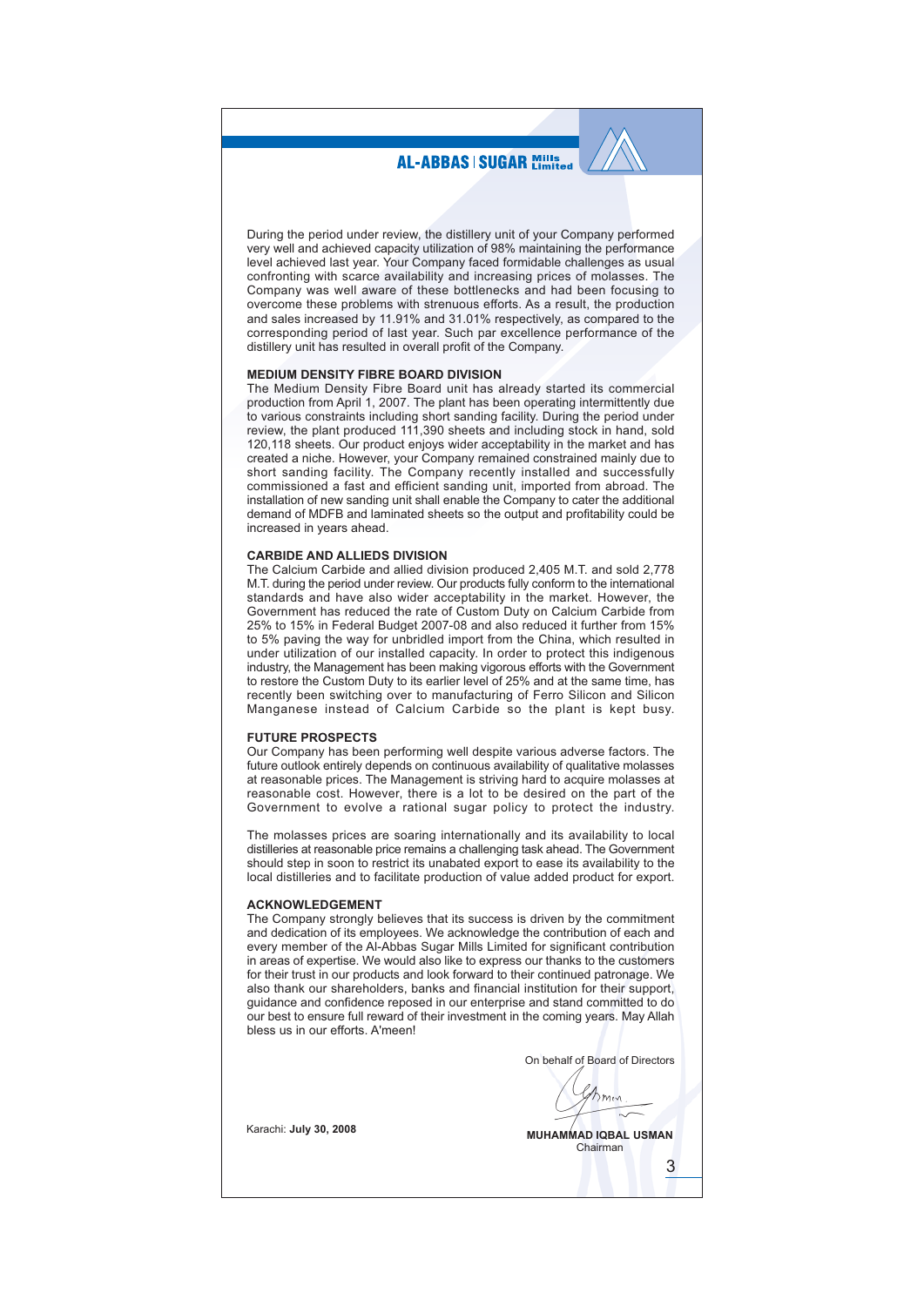During the period under review, the distillery unit of your Company performed very well and achieved capacity utilization of 98% maintaining the performance level achieved last year. Your Company faced formidable challenges as usual confronting with scarce availability and increasing prices of molasses. The Company was well aware of these bottlenecks and had been focusing to overcome these problems with strenuous efforts. As a result, the production and sales increased by 11.91% and 31.01% respectively, as compared to the corresponding period of last year. Such par excellence performance of the distillery unit has resulted in overall profit of the Company.

#### **MEDIUM DENSITY FIBRE BOARD DIVISION**

The Medium Density Fibre Board unit has already started its commercial production from April 1, 2007. The plant has been operating intermittently due to various constraints including short sanding facility. During the period under review, the plant produced 111,390 sheets and including stock in hand, sold 120,118 sheets. Our product enjoys wider acceptability in the market and has created a niche. However, your Company remained constrained mainly due to short sanding facility. The Company recently installed and successfully commissioned a fast and efficient sanding unit, imported from abroad. The installation of new sanding unit shall enable the Company to cater the additional demand of MDFB and laminated sheets so the output and profitability could be increased in years ahead

### **CARBIDE AND ALLIEDS DIVISION**

The Calcium Carbide and allied division produced 2,405 M.T. and sold 2,778 M.T. during the period under review. Our products fully conform to the international standards and have also wider acceptability in the market. However, the Government has reduced the rate of Custom Duty on Calcium Carbide from 25% to 15% in Federal Budget 2007-08 and also reduced it further from 15% to 5% paving the way for unbridled import from the China, which resulted in under utilization of our installed capacity. In order to protect this indigenous industry, the Management has been making vigorous efforts with the Government to restore the Custom Duty to its earlier level of 25% and at the same time, has recently been switching over to manufacturing of Ferro Silicon and Silicon Manganese instead of Calcium Carbide so the plant is kept busy.

### **FUTURE PROSPECTS**

Our Company has been performing well despite various adverse factors. The future outlook entirely depends on continuous availability of qualitative molasses at reasonable prices. The Management is striving hard to acquire molasses at reasonable cost. However, there is a lot to be desired on the part of the Government to evolve a rational sugar policy to protect the industry.

The molasses prices are soaring internationally and its availability to local distilleries at reasonable price remains a challenging task ahead. The Government should step in soon to restrict its unabated export to ease its availability to the local distilleries and to facilitate production of value added product for export.

#### **ACKNOWLEDGEMENT**

The Company strongly believes that its success is driven by the commitment and dedication of its employees. We acknowledge the contribution of each and every member of the Al-Abbas Sugar Mills Limited for significant contribution in areas of expertise. We would also like to express our thanks to the customers for their trust in our products and look forward to their continued patronage. We also thank our shareholders, banks and financial institution for their support, quidance and confidence reposed in our enterprise and stand committed to do our best to ensure full reward of their investment in the coming years. May Allah bless us in our efforts A'meen!

On behalf of Board of Directors  $h_{\text{mw}}$ **MUHAMMAD IQBAL USMAN** Chairman

3

Karachi: July 30, 2008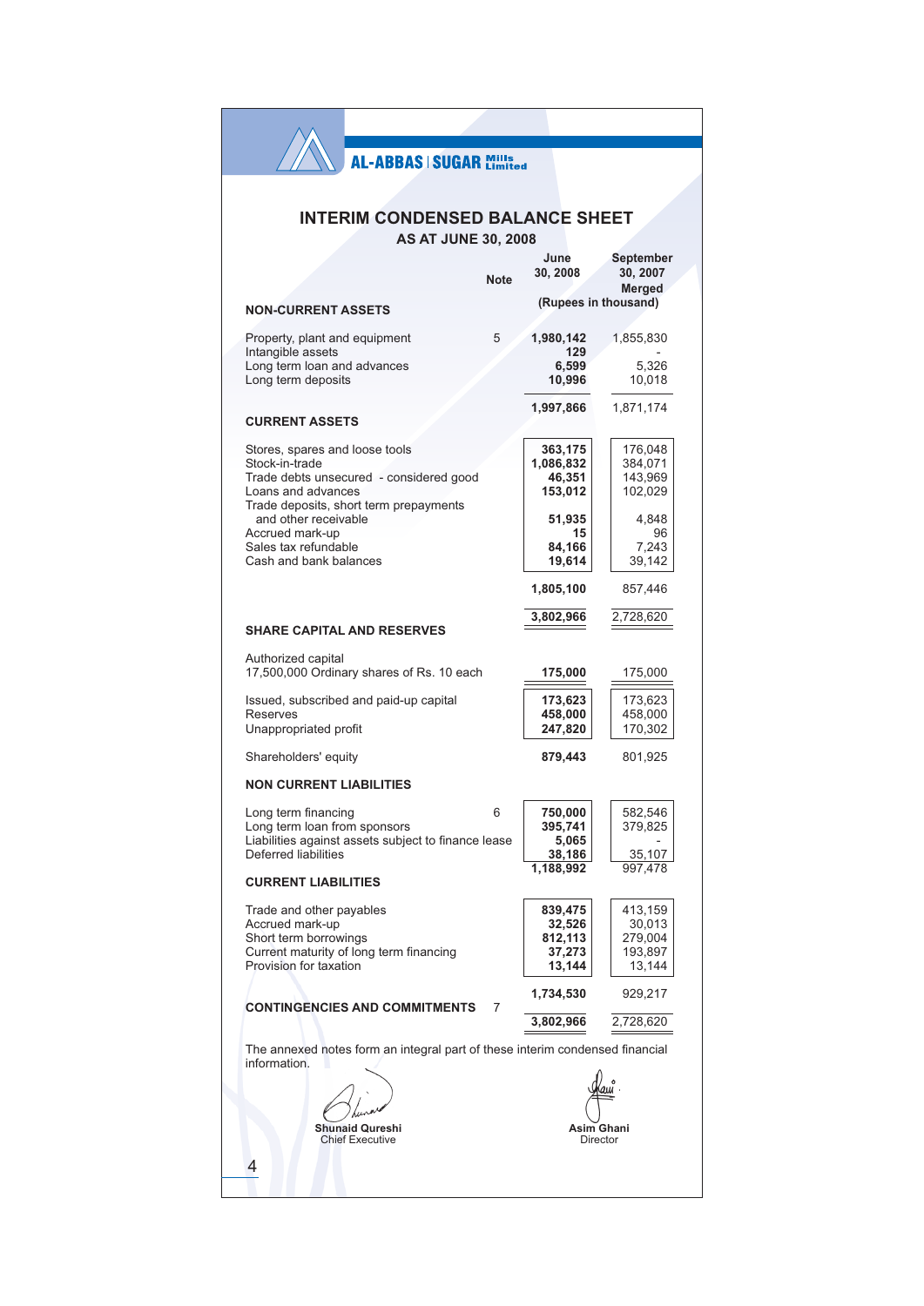# **INTERIM CONDENSED BALANCE SHEET**

**AS AT JUNE 30, 2008** 

|                                                                                              |             | June<br>30, 2008     | <b>September</b><br>30, 2007  |
|----------------------------------------------------------------------------------------------|-------------|----------------------|-------------------------------|
|                                                                                              | <b>Note</b> |                      | Merged                        |
| <b>NON-CURRENT ASSETS</b>                                                                    |             |                      | (Rupees in thousand)          |
| Property, plant and equipment<br>Intangible assets                                           | 5           | 1,980,142<br>129     | 1,855,830                     |
| Long term loan and advances<br>Long term deposits                                            |             | 6,599<br>10,996      | 5,326<br>10,018               |
| <b>CURRENT ASSETS</b>                                                                        |             | 1,997,866            | 1,871,174                     |
|                                                                                              |             |                      |                               |
| Stores, spares and loose tools<br>Stock-in-trade                                             |             | 363,175<br>1,086,832 | 176,048<br>384,071            |
| Trade debts unsecured - considered good                                                      |             | 46,351               | 143,969                       |
| Loans and advances                                                                           |             | 153,012              | 102,029                       |
| Trade deposits, short term prepayments<br>and other receivable                               |             | 51,935               | 4,848                         |
| Accrued mark-up<br>Sales tax refundable                                                      |             | 15<br>84,166         | 96<br>7,243                   |
| Cash and bank balances                                                                       |             | 19,614               | 39,142                        |
|                                                                                              |             | 1,805,100            | 857,446                       |
| <b>SHARE CAPITAL AND RESERVES</b>                                                            |             | 3,802,966            | 2,728,620                     |
|                                                                                              |             |                      |                               |
| Authorized capital<br>17,500,000 Ordinary shares of Rs. 10 each                              |             | 175,000              | 175,000                       |
| Issued, subscribed and paid-up capital                                                       |             | 173,623              | 173,623                       |
| Reserves                                                                                     |             | 458,000              | 458,000                       |
| Unappropriated profit                                                                        |             | 247,820              | 170,302                       |
| Shareholders' equity                                                                         |             | 879,443              | 801,925                       |
| <b>NON CURRENT LIABILITIES</b>                                                               |             |                      |                               |
| Long term financing                                                                          | 6           | 750,000              | 582,546                       |
| Long term loan from sponsors<br>Liabilities against assets subject to finance lease          |             | 395,741              | 379,825                       |
| Deferred liabilities                                                                         |             | 5,065<br>38,186      | 35,107                        |
|                                                                                              |             | 1,188,992            | 997,478                       |
| <b>CURRENT LIABILITIES</b>                                                                   |             |                      |                               |
| Trade and other payables                                                                     |             | 839,475              | 413,159                       |
| Accrued mark-up                                                                              |             | 32,526               | 30,013                        |
| Short term borrowings                                                                        |             | 812,113              | 279,004                       |
| Current maturity of long term financing<br>Provision for taxation                            |             | 37,273<br>13,144     | 193,897<br>13,144             |
| <b>CONTINGENCIES AND COMMITMENTS</b>                                                         | 7           | 1,734,530            | 929,217                       |
|                                                                                              |             | 3,802,966            | 2,728,620                     |
| The annexed notes form an integral part of these interim condensed financial<br>information. |             |                      |                               |
|                                                                                              |             |                      |                               |
|                                                                                              |             |                      |                               |
|                                                                                              |             |                      |                               |
| <b>Shunaid Qureshi</b><br><b>Chief Executive</b>                                             |             |                      | <b>Asim Ghani</b><br>Director |
|                                                                                              |             |                      |                               |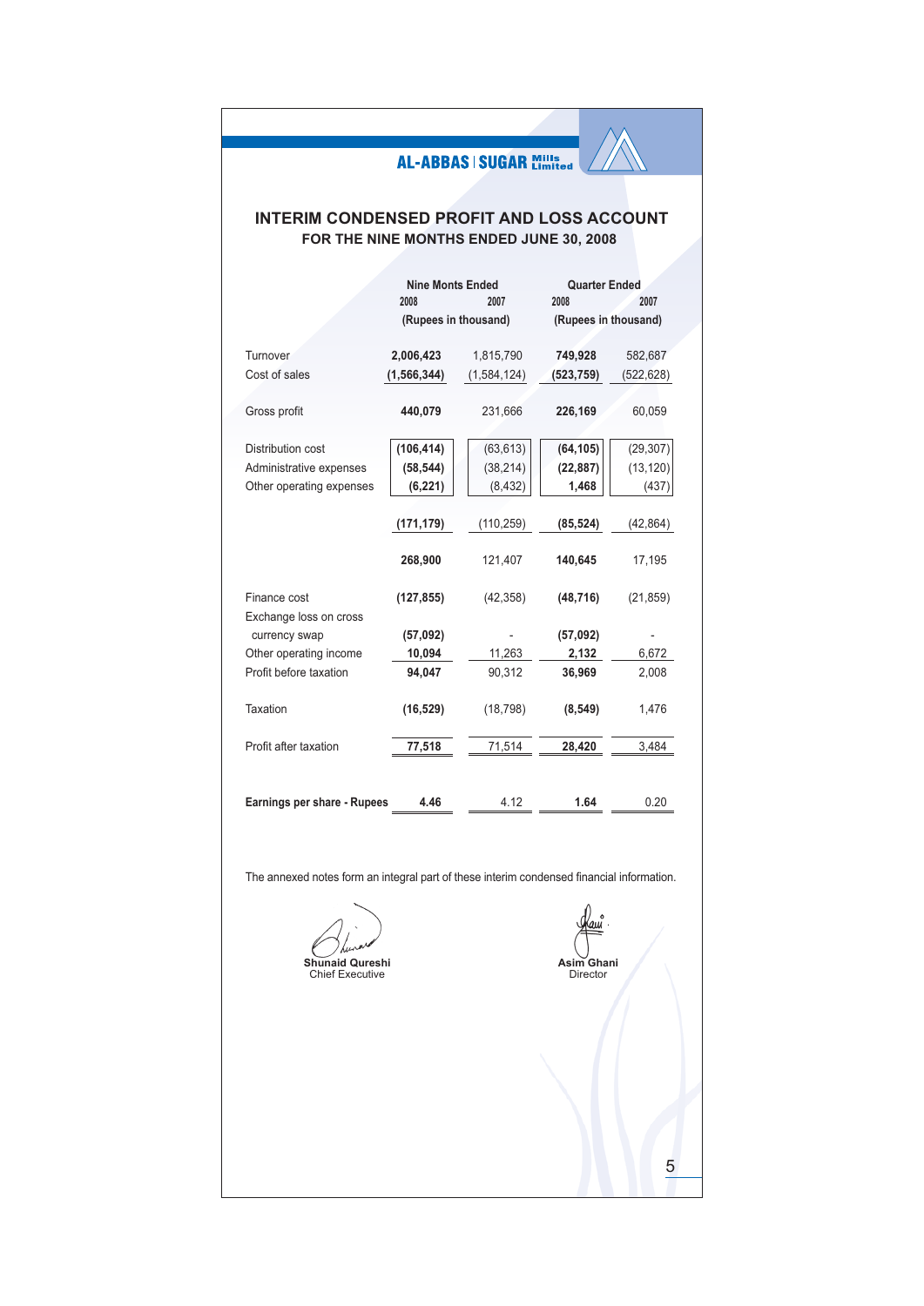# **INTERIM CONDENSED PROFIT AND LOSS ACCOUNT** FOR THE NINE MONTHS ENDED JUNE 30, 2008

|                             | <b>Nine Monts Ended</b><br>2008 | 2007<br>(Rupees in thousand) | <b>Quarter Ended</b><br>2008<br>(Rupees in thousand) | 2007      |
|-----------------------------|---------------------------------|------------------------------|------------------------------------------------------|-----------|
|                             |                                 |                              |                                                      |           |
| Turnover                    | 2,006,423                       | 1,815,790                    | 749,928                                              | 582,687   |
| Cost of sales               | (1, 566, 344)                   | (1,584,124)                  | (523, 759)                                           | (522,628) |
|                             |                                 |                              |                                                      |           |
| Gross profit                | 440,079                         | 231,666                      | 226,169                                              | 60,059    |
|                             |                                 |                              |                                                      |           |
| <b>Distribution cost</b>    | (106, 414)                      | (63, 613)                    | (64, 105)                                            | (29, 307) |
| Administrative expenses     | (58, 544)                       | (38, 214)                    | (22, 887)                                            | (13, 120) |
| Other operating expenses    | (6, 221)                        | (8, 432)                     | 1,468                                                | (437)     |
|                             |                                 |                              |                                                      |           |
|                             | (171, 179)                      | (110, 259)                   | (85, 524)                                            | (42,864)  |
|                             |                                 |                              |                                                      |           |
|                             | 268,900                         | 121,407                      | 140,645                                              | 17,195    |
|                             |                                 |                              |                                                      |           |
| Finance cost                | (127, 855)                      | (42, 358)                    | (48, 716)                                            | (21, 859) |
| Exchange loss on cross      |                                 |                              |                                                      |           |
| currency swap               | (57,092)                        |                              | (57,092)                                             |           |
| Other operating income      | 10,094                          | 11,263                       | 2,132                                                | 6,672     |
| Profit before taxation      | 94,047                          | 90,312                       | 36,969                                               | 2,008     |
|                             |                                 |                              |                                                      |           |
| Taxation                    | (16, 529)                       | (18, 798)                    | (8, 549)                                             | 1,476     |
|                             |                                 |                              |                                                      |           |
| Profit after taxation       | 77,518                          | 71,514                       | 28,420                                               | 3,484     |
|                             |                                 |                              |                                                      |           |
|                             |                                 |                              |                                                      |           |
| Earnings per share - Rupees | 4.46                            | 4.12                         | 1.64                                                 | 0.20      |

The annexed notes form an integral part of these interim condensed financial information.

Shunaid Qureshi<br>Chief Executive

au Asim Ghani<br>Director

 $\overline{5}$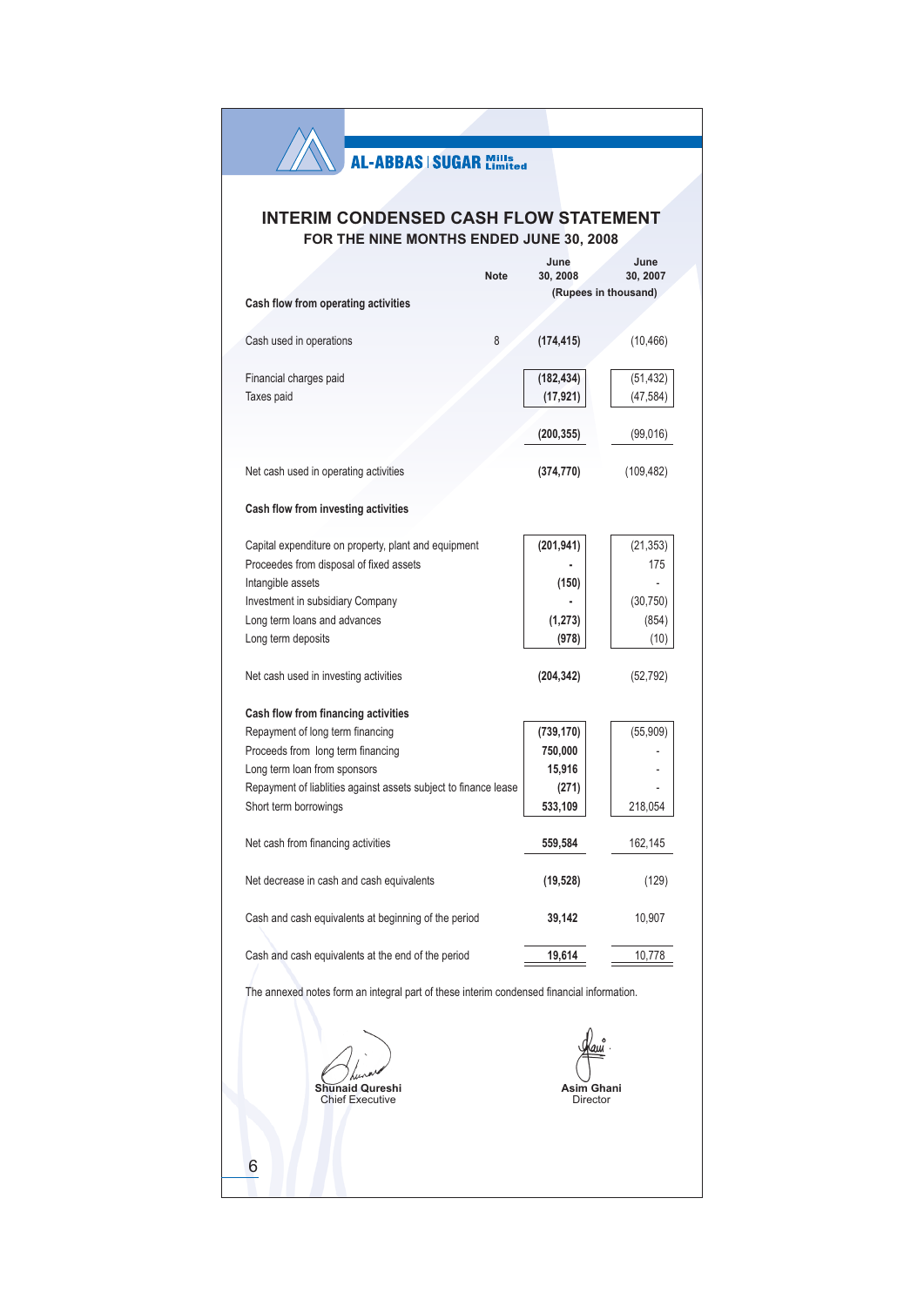X)

# **INTERIM CONDENSED CASH FLOW STATEMENT** FOR THE NINE MONTHS ENDED JUNE 30, 2008

|                                                                                           | <b>Note</b> | June<br>30, 2008       | June<br>30, 2007     |
|-------------------------------------------------------------------------------------------|-------------|------------------------|----------------------|
|                                                                                           |             |                        | (Rupees in thousand) |
| Cash flow from operating activities                                                       |             |                        |                      |
|                                                                                           |             |                        |                      |
| Cash used in operations                                                                   | 8           | (174, 415)             | (10, 466)            |
|                                                                                           |             |                        |                      |
| Financial charges paid                                                                    |             | (182, 434)             | (51, 432)            |
| Taxes paid                                                                                |             | (17, 921)              | (47, 584)            |
|                                                                                           |             |                        |                      |
|                                                                                           |             | (200, 355)             | (99,016)             |
|                                                                                           |             |                        |                      |
| Net cash used in operating activities                                                     |             | (374, 770)             | (109, 482)           |
|                                                                                           |             |                        |                      |
| Cash flow from investing activities                                                       |             |                        |                      |
|                                                                                           |             |                        |                      |
| Capital expenditure on property, plant and equipment                                      |             | (201, 941)             | (21, 353)            |
| Proceedes from disposal of fixed assets                                                   |             |                        | 175                  |
| Intangible assets                                                                         |             |                        |                      |
|                                                                                           |             | (150)                  |                      |
| Investment in subsidiary Company                                                          |             |                        | (30, 750)            |
| Long term loans and advances                                                              |             | (1, 273)               | (854)                |
| Long term deposits                                                                        |             | (978)                  | (10)                 |
|                                                                                           |             |                        |                      |
| Net cash used in investing activities                                                     |             | (204, 342)             | (52, 792)            |
|                                                                                           |             |                        |                      |
| Cash flow from financing activities                                                       |             |                        |                      |
| Repayment of long term financing                                                          |             | (739, 170)             | (55, 909)            |
| Proceeds from long term financing                                                         |             | 750,000                |                      |
| Long term loan from sponsors                                                              |             | 15,916                 |                      |
| Repayment of liablities against assets subject to finance lease                           |             | (271)                  |                      |
| Short term borrowings                                                                     |             | 533,109                | 218,054              |
|                                                                                           |             |                        |                      |
| Net cash from financing activities                                                        |             | 559,584                | 162,145              |
|                                                                                           |             |                        |                      |
| Net decrease in cash and cash equivalents                                                 |             | (19, 528)              | (129)                |
|                                                                                           |             |                        |                      |
| Cash and cash equivalents at beginning of the period                                      |             | 39,142                 | 10,907               |
|                                                                                           |             |                        |                      |
| Cash and cash equivalents at the end of the period                                        |             | 19,614                 | 10,778               |
|                                                                                           |             |                        |                      |
| The annexed notes form an integral part of these interim condensed financial information. |             |                        |                      |
|                                                                                           |             |                        |                      |
|                                                                                           |             |                        |                      |
|                                                                                           |             |                        |                      |
|                                                                                           |             |                        |                      |
| naid Qureshi<br><b>Chief Executive</b>                                                    |             | Asim Ghani<br>Director |                      |
|                                                                                           |             |                        |                      |

 $6\phantom{a}$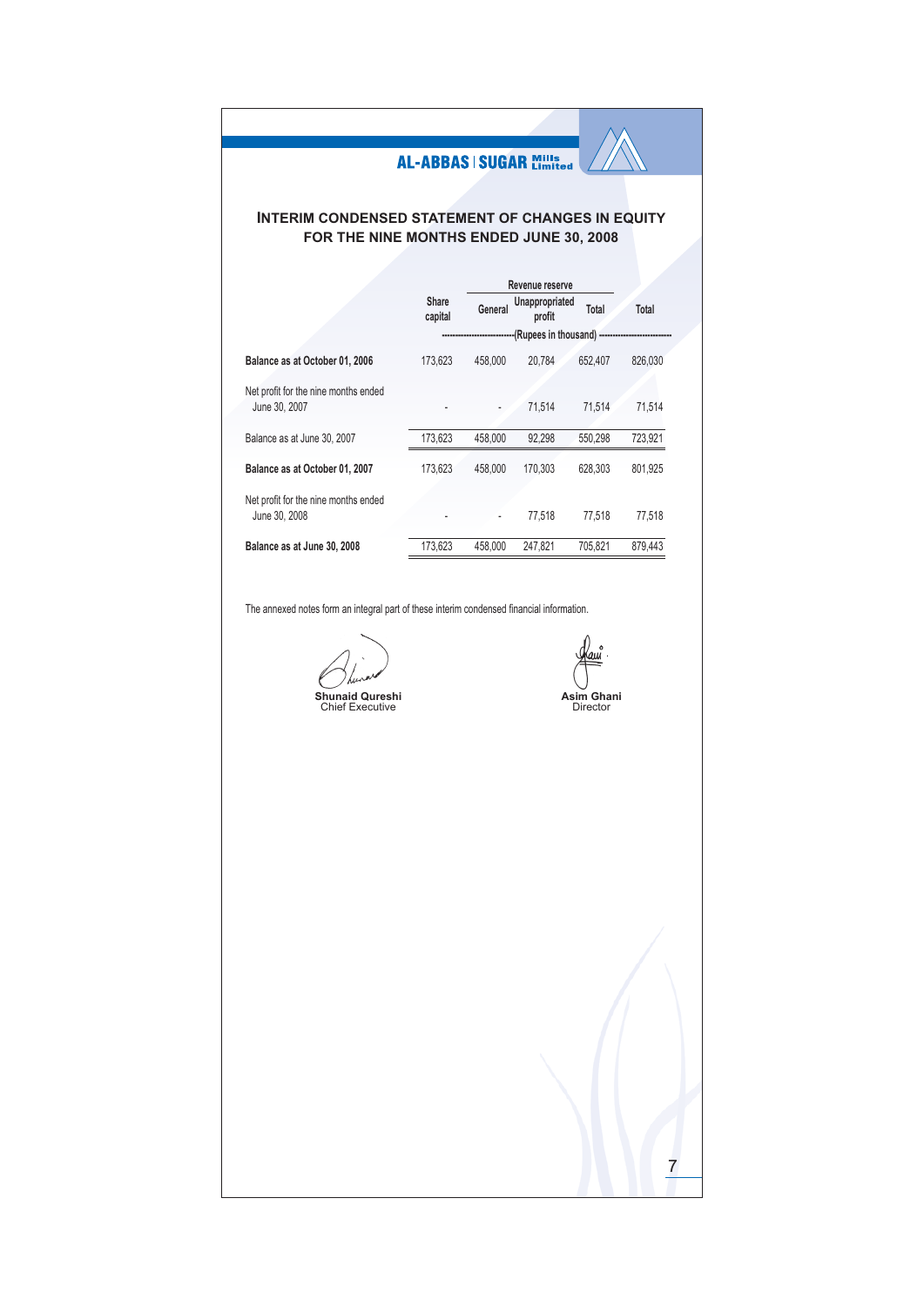# **INTERIM CONDENSED STATEMENT OF CHANGES IN EQUITY** FOR THE NINE MONTHS ENDED JUNE 30, 2008

|                                                       |                  |         | Revenue reserve          |         |         |
|-------------------------------------------------------|------------------|---------|--------------------------|---------|---------|
|                                                       | Share<br>capital | General | Unappropriated<br>profit | Total   | Total   |
|                                                       |                  |         | (Rupees in thousand)     |         |         |
| Balance as at October 01, 2006                        | 173,623          | 458,000 | 20,784                   | 652,407 | 826,030 |
| Net profit for the nine months ended                  |                  |         |                          |         |         |
| June 30, 2007                                         |                  |         | 71.514                   | 71,514  | 71,514  |
| Balance as at June 30, 2007                           | 173,623          | 458,000 | 92,298                   | 550,298 | 723,921 |
| Balance as at October 01, 2007                        | 173.623          | 458,000 | 170,303                  | 628,303 | 801.925 |
| Net profit for the nine months ended<br>June 30, 2008 |                  |         | 77.518                   | 77,518  | 77,518  |
| Balance as at June 30, 2008                           | 173,623          | 458,000 | 247,821                  | 705,821 | 879,443 |

The annexed notes form an integral part of these interim condensed financial information.

auî

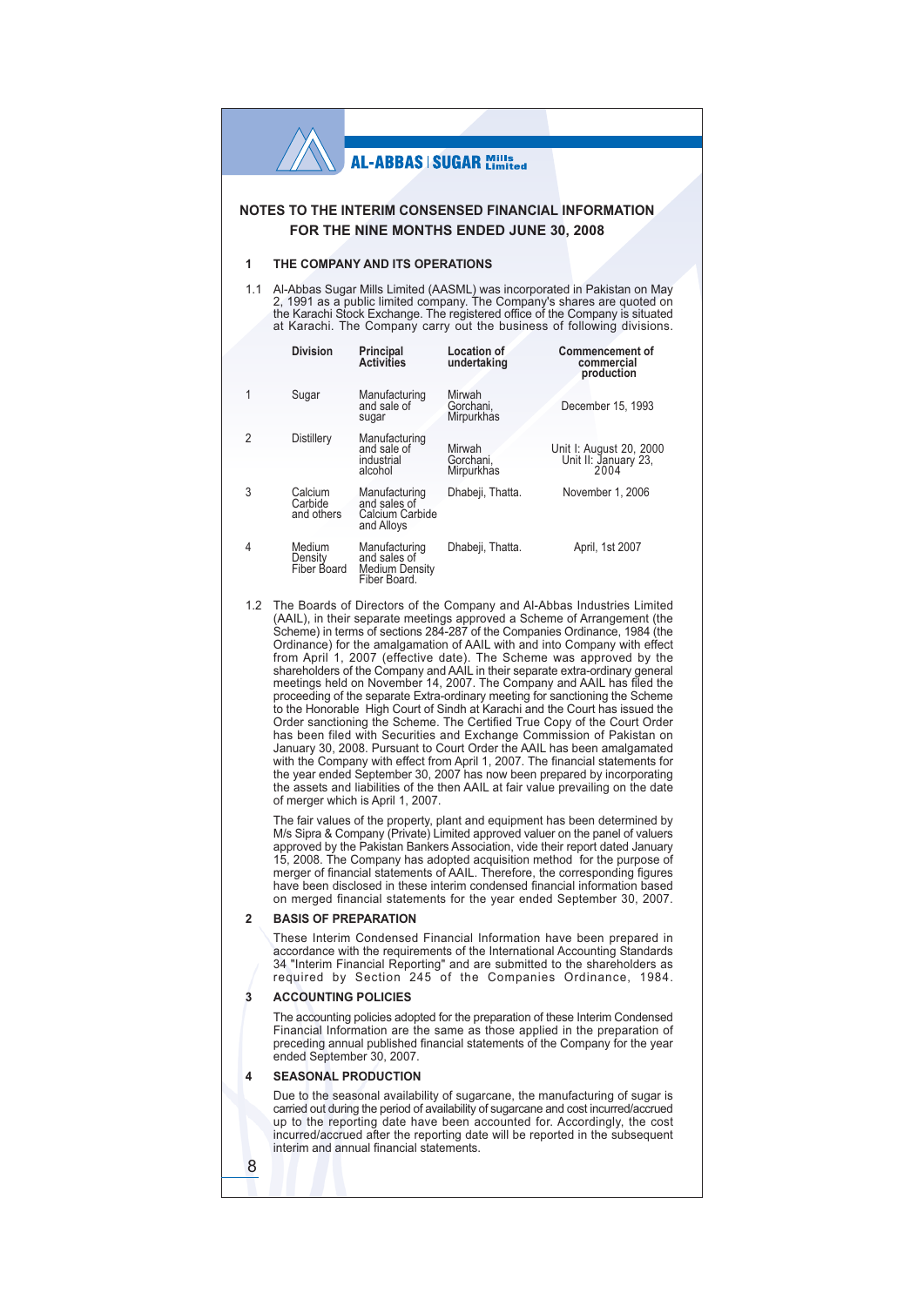## NOTES TO THE INTERIM CONSENSED FINANCIAL INFORMATION FOR THE NINE MONTHS ENDED JUNE 30, 2008

#### $\overline{1}$ THE COMPANY AND ITS OPERATIONS

1.1 Al-Abbas Sugar Mills Limited (AASML) was incorporated in Pakistan on May<br>2, 1991 as a public limited company. The Company's shares are quoted on the Karachi Stock Exchange. The registered office of the Company is situated at Karachi. The Company carry out the business of following divisions.

|                | <b>Division</b>                  | Principal<br><b>Activities</b>                                         | <b>Location of</b><br>undertaking | <b>Commencement of</b><br>commercial<br>production      |
|----------------|----------------------------------|------------------------------------------------------------------------|-----------------------------------|---------------------------------------------------------|
| 1              | Sugar                            | Manufacturing<br>and sale of<br>sugar                                  | Mirwah<br>Gorchani,<br>Mirpurkhas | December 15, 1993                                       |
| $\overline{2}$ | Distillery                       | Manufacturing<br>and sale of<br>industrial<br>alcohol                  | Mirwah<br>Gorchani.<br>Mirpurkhas | Unit I: August 20, 2000<br>Unit II: January 23,<br>2004 |
| 3              | Calcium<br>Carbide<br>and others | Manufacturing<br>and sales of<br>Calcium Carbide<br>and Alloys         | Dhabeji, Thatta.                  | November 1, 2006                                        |
| 4              | Medium<br>Density<br>Fiber Board | Manufacturing<br>and sales of<br><b>Medium Density</b><br>Fiber Board. | Dhabeji, Thatta.                  | April, 1st 2007                                         |

1.2 The Boards of Directors of the Company and Al-Abbas Industries Limited (AAIL), in their separate meetings approved a Scheme of Arrangement (the Scheme) in terms of sections 284-287 of the Companies Ordinance, 1984 (the Ordinance) for the amalgamation of AAIL with and into Company with effect From April 1, 2007 (effective date). The Scheme was approved by the<br>shareholders of the Company and AAIL in their separate extra-ordinary general meetings held on November 14, 2007. The Company and AAIL has filed the proceeding of the separate Extra-ordinary meeting for sanctioning the Scheme to the Honorable High Court of Sindh at Karachi and the Court has issued the Order sanctioning the Scheme. The Certified True Copy of the Court Order has been filed with Securities and Exchange Commission of Pakistan on January 30, 2008. Pursuant to Court Order the AAIL has been amalgamated with the Company with effect from April 1, 2007. The financial statements for the year ended September 30, 2007 has now been prepared by incorporating the assets and liabilities of the then AAIL at fair value prevailing on the date of merger which is April 1, 2007.

The fair values of the property, plant and equipment has been determined by M/s Sipra & Company (Private) Limited approved valuer on the panel of valuers approved by the Pakistan Bankers Association, vide their report dated January 15, 2008. The Company has adopted acquisition method for the purpose of merger of financial statements of AAIL. Therefore, the corresponding figures<br>have been disclosed in these interim condensed financial information based on merged financial statements for the year ended September 30, 2007.

#### $\overline{2}$ **BASIS OF PREPARATION**

These Interim Condensed Financial Information have been prepared in accordance with the requirements of the International Accounting Standards 34 "Interim Financial Reporting" and are submitted to the shareholders as<br>required by Section 245 of the Companies Ordinance, 1984.

#### $\overline{\mathbf{3}}$ ACCOUNTING POLICIES

The accounting policies adopted for the preparation of these Interim Condensed Financial Information are the same as those applied in the preparation of preceding annual published financial statements of the Company for the year ended September 30, 2007.

### **SEASONAL PRODUCTION**

8

Due to the seasonal availability of sugarcane, the manufacturing of sugar is carried out during the period of availability of sugarcane and cost incurred/accrued up to the reporting date have been accounted for. Accordingly, the cost incurred/accrued after the reporting date will be reported in the subsequent interim and annual financial statements.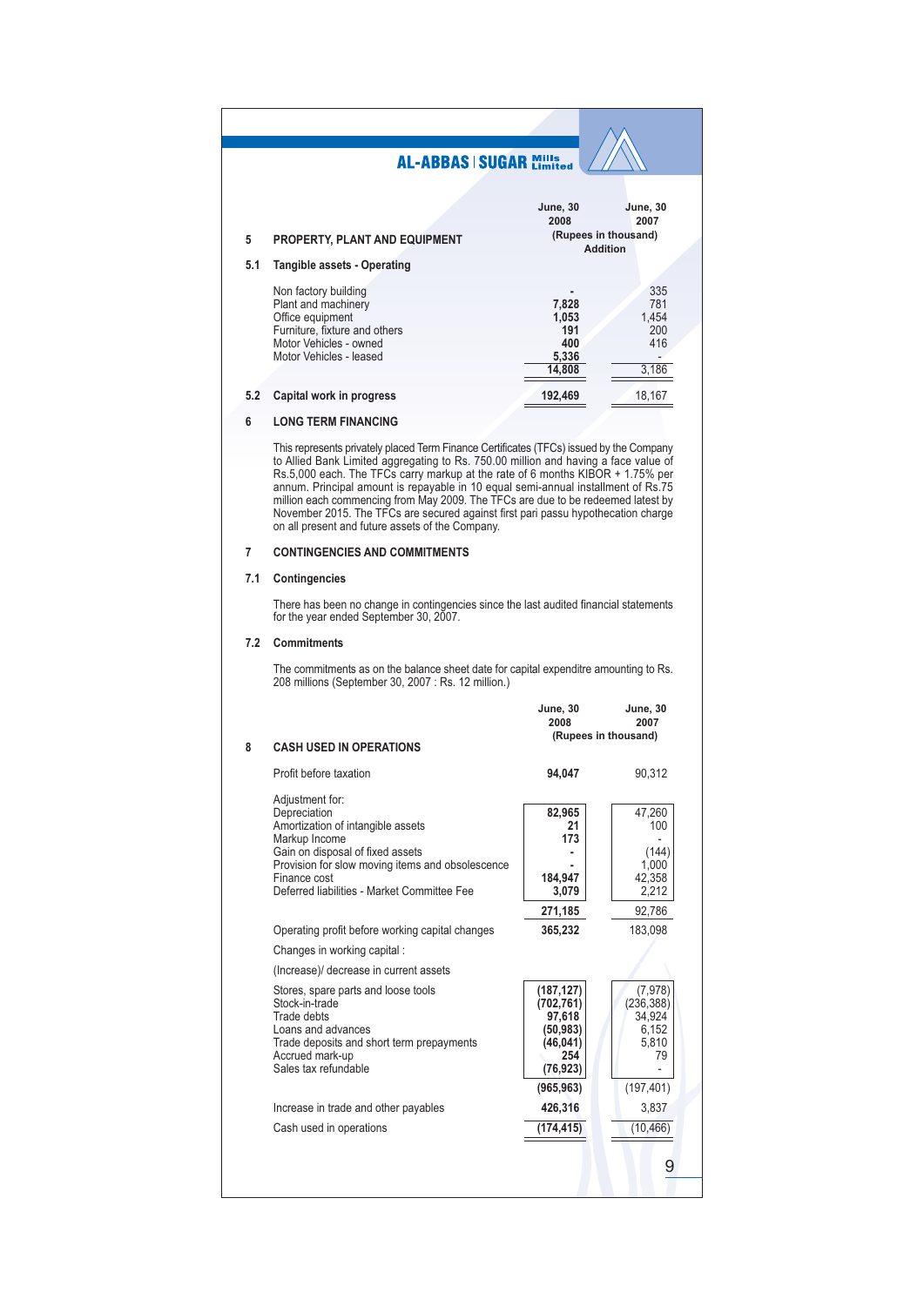| 5   | <b>PROPERTY, PLANT AND EQUIPMENT</b>                                                                                                                  | <b>June, 30</b><br>2008<br>(Rupees in thousand)<br><b>Addition</b> | <b>June, 30</b><br>2007                    |
|-----|-------------------------------------------------------------------------------------------------------------------------------------------------------|--------------------------------------------------------------------|--------------------------------------------|
| 5.1 | Tangible assets - Operating                                                                                                                           |                                                                    |                                            |
|     | Non factory building<br>Plant and machinery<br>Office equipment<br>Furniture, fixture and others<br>Motor Vehicles - owned<br>Motor Vehicles - leased | ٠<br>7,828<br>1.053<br>191<br>400<br>5.336<br>14.808               | 335<br>781<br>1,454<br>200<br>416<br>3,186 |
| 5.2 | Capital work in progress                                                                                                                              | 192,469                                                            | 18,167                                     |

#### **LONG TERM FINANCING**  $6\overline{6}$

This represents privately placed Term Finance Certificates (TFCs) issued by the Company to Allied Bank Limited aggregating to Rs. 750.00 million and having a face value of Rs.5,000 each. The TFCs carry markup at the rate o annum. Principal amount is repayable in 10 equal semi-annual installment of Rs.75 million each commencing from May 2009. The TFCs are due to be redeemed latest by<br>November 2015. The TFCs are secured against first pari passu hypothecation charge on all present and future assets of the Company.

#### $\overline{7}$ **CONTINGENCIES AND COMMITMENTS**

#### 7.1 Contingencies

There has been no change in contingencies since the last audited financial statements for the year ended September 30, 2007.

## 7.2 Commitments

The commitments as on the balance sheet date for capital expenditre amounting to Rs. 208 millions (September 30, 2007 : Rs. 12 million.)

|   |                                                                                                                                                                                                                                              | <b>June, 30</b><br>2008                                                                       | <b>June, 30</b><br>2007                                               |
|---|----------------------------------------------------------------------------------------------------------------------------------------------------------------------------------------------------------------------------------------------|-----------------------------------------------------------------------------------------------|-----------------------------------------------------------------------|
| 8 | <b>CASH USED IN OPERATIONS</b>                                                                                                                                                                                                               |                                                                                               | (Rupees in thousand)                                                  |
|   | Profit before taxation                                                                                                                                                                                                                       | 94,047                                                                                        | 90,312                                                                |
|   | Adjustment for:<br>Depreciation<br>Amortization of intangible assets<br>Markup Income<br>Gain on disposal of fixed assets<br>Provision for slow moving items and obsolescence<br>Finance cost<br>Deferred liabilities - Market Committee Fee | 82,965<br>21<br>173<br>184,947<br>3,079<br>271,185                                            | 47,260<br>100<br>(144)<br>1,000<br>42,358<br>2,212<br>92,786          |
|   | Operating profit before working capital changes                                                                                                                                                                                              | 365,232                                                                                       | 183,098                                                               |
|   | Changes in working capital:                                                                                                                                                                                                                  |                                                                                               |                                                                       |
|   | (Increase)/ decrease in current assets                                                                                                                                                                                                       |                                                                                               |                                                                       |
|   | Stores, spare parts and loose tools<br>Stock-in-trade<br>Trade debts<br>Loans and advances<br>Trade deposits and short term prepayments<br>Accrued mark-up<br>Sales tax refundable                                                           | (187, 127)<br>(702, 761)<br>97,618<br>(50, 983)<br>(46,041)<br>254<br>(76, 923)<br>(965, 963) | (7,978)<br>(236, 388)<br>34,924<br>6,152<br>5,810<br>79<br>(197, 401) |
|   | Increase in trade and other payables                                                                                                                                                                                                         | 426,316                                                                                       | 3,837                                                                 |
|   | Cash used in operations                                                                                                                                                                                                                      | (174, 415)                                                                                    | (10, 466)                                                             |
|   |                                                                                                                                                                                                                                              |                                                                                               | 9                                                                     |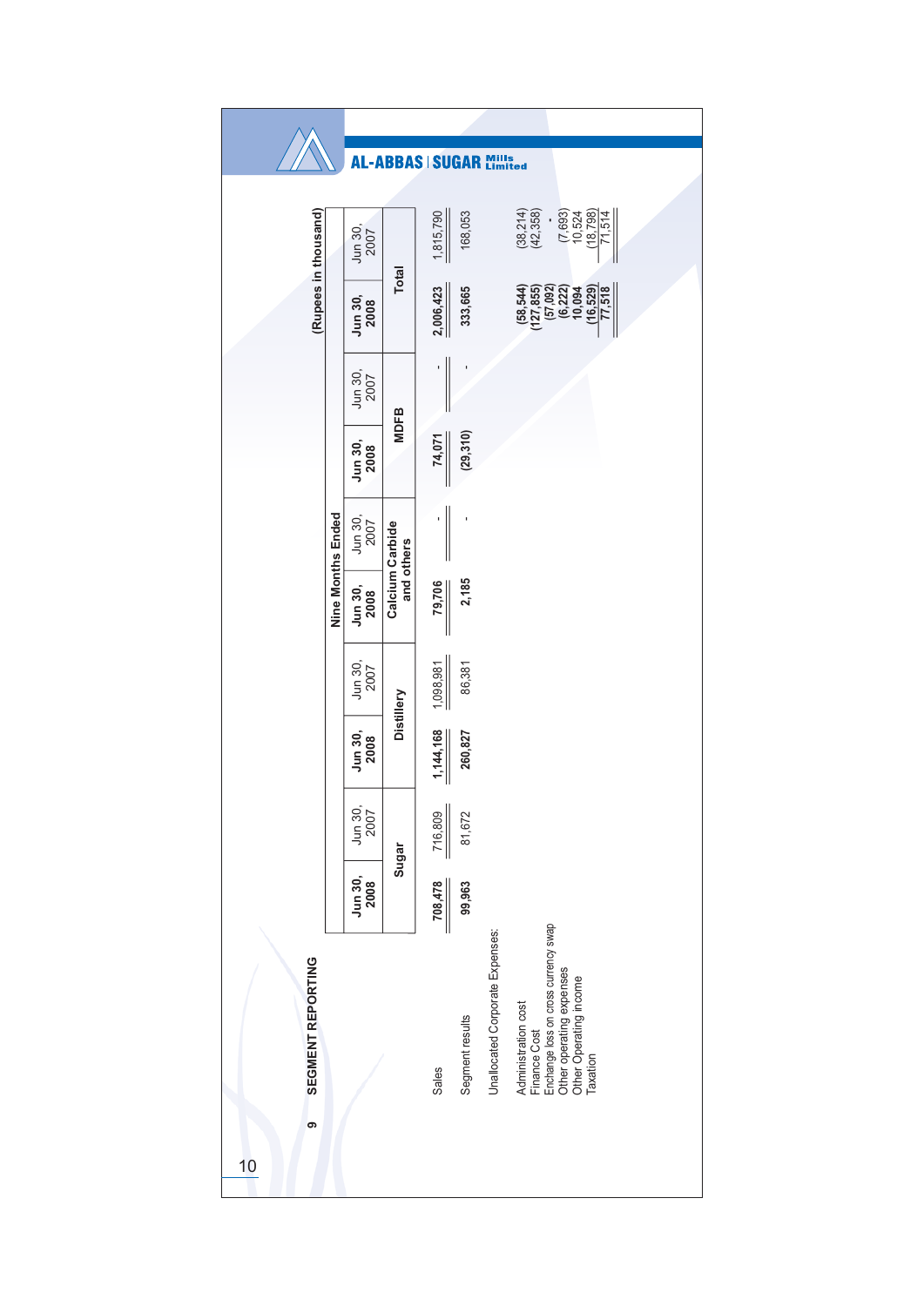|                              |                   |                 |                               | AL-ABBAS SUGAR Mills |                 |                                 |                                                                                                                                                      |
|------------------------------|-------------------|-----------------|-------------------------------|----------------------|-----------------|---------------------------------|------------------------------------------------------------------------------------------------------------------------------------------------------|
| (Rupees in thousand)         |                   | Jun 30,<br>2007 |                               | 1,815,790            | 168,053         |                                 | $(38,214)$<br>$(42,358)$<br>$(7,693)$<br>$10,524$<br>$(18,798)$<br>71,514                                                                            |
|                              |                   | Jun 30,<br>2008 | <b>Total</b>                  | 2,006,423            | 333,665         |                                 | $(58, 544)$<br>$(127, 855)$<br>$\frac{(16,529)}{77,518}$<br>$(57,092)$<br>$(6,222)$<br>10,094                                                        |
|                              |                   | Jun 30,<br>2007 | <b>MDFB</b>                   | 1                    |                 |                                 |                                                                                                                                                      |
|                              |                   | Jun 30,<br>2008 |                               | 74,071               | (29,310)        |                                 |                                                                                                                                                      |
|                              | Nine Months Ended | Jun 30,<br>2007 | Calcium Carbide<br>and others |                      | ı               |                                 |                                                                                                                                                      |
|                              |                   | Jun 30,<br>2008 |                               | 79,706               | 2,185           |                                 |                                                                                                                                                      |
|                              |                   | Jun 30,<br>2007 | Distillery                    | 1,098,981            | 86,381          |                                 |                                                                                                                                                      |
|                              |                   | Jun 30,<br>2008 |                               | 1,144,168            | 260,827         |                                 |                                                                                                                                                      |
|                              |                   | Jun 30,<br>2007 | Sugar                         | 716,809              | 81,672          |                                 |                                                                                                                                                      |
|                              |                   | Jun 30,<br>2008 |                               | 708,478              | 99,963          |                                 |                                                                                                                                                      |
| SEGMENT REPORTING<br>ၜ<br>10 |                   |                 |                               | Sales                | Segment results | Unallocated Corporate Expenses: | Enchange loss on cross currency swap<br>Other operating expenses<br>Other Operating income<br>Administration cost<br><b>Finance Cost</b><br>Taxation |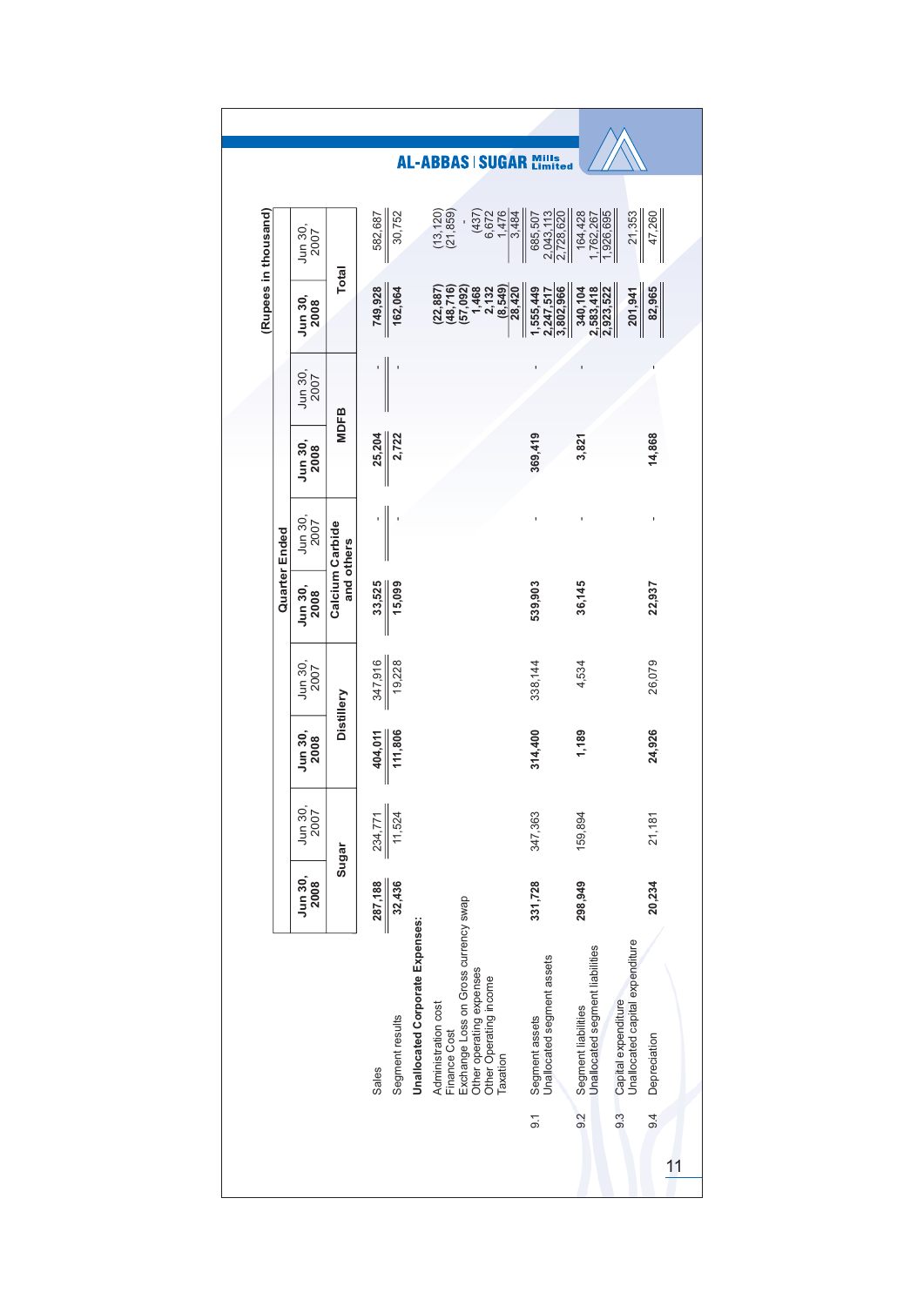| (Rupees in thousand)<br>$(13, 120)$<br>$(21, 859)$<br>6,672<br>1,476<br>30,752<br>(437)<br>3,484<br>685,507<br>2,728,620<br>164,428<br>1,926,695<br>21,353<br>47,260<br>2,043,113<br>582,687<br>,762,267<br>Jun 30,<br>2007<br><b>Total</b><br>749,928<br>$(22, 887)$<br>$(48, 716)$<br>$(57, 092)$<br>(8, 549)<br>1,555,449<br>162,064<br>1,468<br>2,132<br>3,802,966<br>340,104<br>$\frac{2,583,418}{2,923,522}$<br>82,965<br>28,420<br>2,247,517<br>201,941<br>Jun 30,<br>2008<br>Jun 30,<br>2007<br><b>MDFB</b><br>2,722<br>369,419<br>14,868<br>25,204<br>3,821<br>Jun 30,<br>2008<br>Jun 30,<br>2007<br>Calcium Carbide<br>Quarter Ended<br>and others<br>33,525<br>15,099<br>539,903<br>36,145<br>22,937<br>Jun 30,<br>2008<br>347,916<br>19,228<br>Jun 30,<br>2007<br>26,079<br>338, 144<br>4,534<br>Distillery<br>24,926<br>111,806<br>314,400<br>1,189<br>Jun 30,<br>2008<br>404,011<br>Jun 30,<br>2007<br>11,524<br>234,771<br>347,363<br>159,894<br>21,181<br>Sugar<br>Jun 30,<br>2008<br>287,188<br>32,436<br>331,728<br>298,949<br>20,234<br>Exchange Loss on Gross currency swap<br><b>Unallocated Corporate Expenses:</b><br>Capital expenditure<br>Unallocated capital expenditure<br>Unallocated segment liabilities<br>Segment assets<br>Unallocated segment assets<br>Other operating expenses<br>Other Operating income<br>Administration cost<br>Segment liabilities<br>Segment results<br><b>Finance Cost</b><br>Depreciation<br>Taxation<br><b>Sales</b><br>9.2<br>9.3<br>9.4<br>$\overline{9}$ |  |  |  | <b>AL-ABBAS   SUGAR</b> |  |  |  |
|-------------------------------------------------------------------------------------------------------------------------------------------------------------------------------------------------------------------------------------------------------------------------------------------------------------------------------------------------------------------------------------------------------------------------------------------------------------------------------------------------------------------------------------------------------------------------------------------------------------------------------------------------------------------------------------------------------------------------------------------------------------------------------------------------------------------------------------------------------------------------------------------------------------------------------------------------------------------------------------------------------------------------------------------------------------------------------------------------------------------------------------------------------------------------------------------------------------------------------------------------------------------------------------------------------------------------------------------------------------------------------------------------------------------------------------------------------------------------------------------------------------------------|--|--|--|-------------------------|--|--|--|
|                                                                                                                                                                                                                                                                                                                                                                                                                                                                                                                                                                                                                                                                                                                                                                                                                                                                                                                                                                                                                                                                                                                                                                                                                                                                                                                                                                                                                                                                                                                         |  |  |  |                         |  |  |  |
|                                                                                                                                                                                                                                                                                                                                                                                                                                                                                                                                                                                                                                                                                                                                                                                                                                                                                                                                                                                                                                                                                                                                                                                                                                                                                                                                                                                                                                                                                                                         |  |  |  |                         |  |  |  |
|                                                                                                                                                                                                                                                                                                                                                                                                                                                                                                                                                                                                                                                                                                                                                                                                                                                                                                                                                                                                                                                                                                                                                                                                                                                                                                                                                                                                                                                                                                                         |  |  |  |                         |  |  |  |
|                                                                                                                                                                                                                                                                                                                                                                                                                                                                                                                                                                                                                                                                                                                                                                                                                                                                                                                                                                                                                                                                                                                                                                                                                                                                                                                                                                                                                                                                                                                         |  |  |  |                         |  |  |  |
|                                                                                                                                                                                                                                                                                                                                                                                                                                                                                                                                                                                                                                                                                                                                                                                                                                                                                                                                                                                                                                                                                                                                                                                                                                                                                                                                                                                                                                                                                                                         |  |  |  |                         |  |  |  |
|                                                                                                                                                                                                                                                                                                                                                                                                                                                                                                                                                                                                                                                                                                                                                                                                                                                                                                                                                                                                                                                                                                                                                                                                                                                                                                                                                                                                                                                                                                                         |  |  |  |                         |  |  |  |
|                                                                                                                                                                                                                                                                                                                                                                                                                                                                                                                                                                                                                                                                                                                                                                                                                                                                                                                                                                                                                                                                                                                                                                                                                                                                                                                                                                                                                                                                                                                         |  |  |  |                         |  |  |  |
|                                                                                                                                                                                                                                                                                                                                                                                                                                                                                                                                                                                                                                                                                                                                                                                                                                                                                                                                                                                                                                                                                                                                                                                                                                                                                                                                                                                                                                                                                                                         |  |  |  |                         |  |  |  |
|                                                                                                                                                                                                                                                                                                                                                                                                                                                                                                                                                                                                                                                                                                                                                                                                                                                                                                                                                                                                                                                                                                                                                                                                                                                                                                                                                                                                                                                                                                                         |  |  |  |                         |  |  |  |
|                                                                                                                                                                                                                                                                                                                                                                                                                                                                                                                                                                                                                                                                                                                                                                                                                                                                                                                                                                                                                                                                                                                                                                                                                                                                                                                                                                                                                                                                                                                         |  |  |  |                         |  |  |  |
|                                                                                                                                                                                                                                                                                                                                                                                                                                                                                                                                                                                                                                                                                                                                                                                                                                                                                                                                                                                                                                                                                                                                                                                                                                                                                                                                                                                                                                                                                                                         |  |  |  |                         |  |  |  |
|                                                                                                                                                                                                                                                                                                                                                                                                                                                                                                                                                                                                                                                                                                                                                                                                                                                                                                                                                                                                                                                                                                                                                                                                                                                                                                                                                                                                                                                                                                                         |  |  |  |                         |  |  |  |